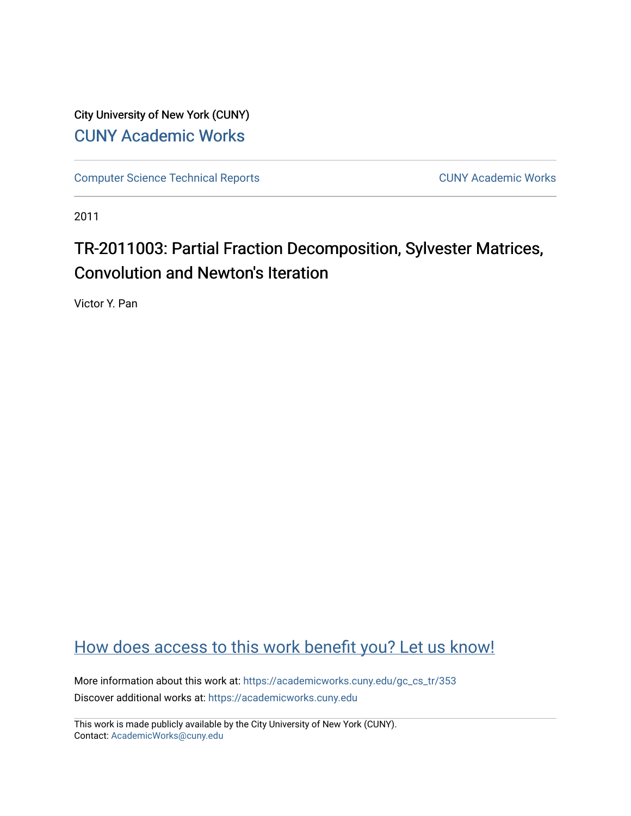City University of New York (CUNY) [CUNY Academic Works](https://academicworks.cuny.edu/) 

[Computer Science Technical Reports](https://academicworks.cuny.edu/gc_cs_tr) **CUNY Academic Works** CUNY Academic Works

2011

# TR-2011003: Partial Fraction Decomposition, Sylvester Matrices, Convolution and Newton's Iteration

Victor Y. Pan

### [How does access to this work benefit you? Let us know!](http://ols.cuny.edu/academicworks/?ref=https://academicworks.cuny.edu/gc_cs_tr/353)

More information about this work at: https://academicworks.cuny.edu/gc\_cs\_tr/353 Discover additional works at: [https://academicworks.cuny.edu](https://academicworks.cuny.edu/?)

This work is made publicly available by the City University of New York (CUNY). Contact: [AcademicWorks@cuny.edu](mailto:AcademicWorks@cuny.edu)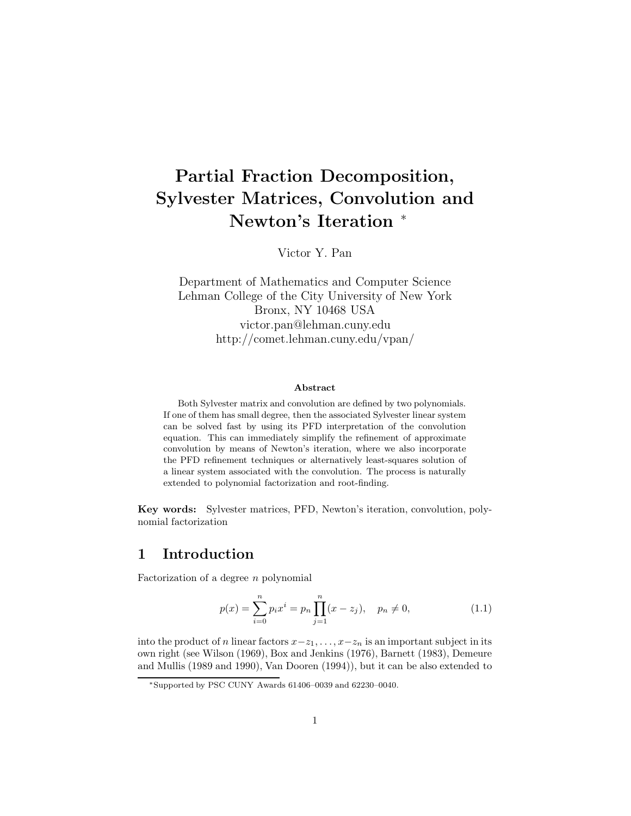## **Partial Fraction Decomposition, Sylvester Matrices, Convolution and Newton's Iteration** <sup>∗</sup>

Victor Y. Pan

Department of Mathematics and Computer Science Lehman College of the City University of New York Bronx, NY 10468 USA victor.pan@lehman.cuny.edu http://comet.lehman.cuny.edu/vpan/

#### **Abstract**

Both Sylvester matrix and convolution are defined by two polynomials. If one of them has small degree, then the associated Sylvester linear system can be solved fast by using its PFD interpretation of the convolution equation. This can immediately simplify the refinement of approximate convolution by means of Newton's iteration, where we also incorporate the PFD refinement techniques or alternatively least-squares solution of a linear system associated with the convolution. The process is naturally extended to polynomial factorization and root-finding.

**Key words:** Sylvester matrices, PFD, Newton's iteration, convolution, polynomial factorization

#### **1 Introduction**

Factorization of a degree *n* polynomial

$$
p(x) = \sum_{i=0}^{n} p_i x^i = p_n \prod_{j=1}^{n} (x - z_j), \quad p_n \neq 0,
$$
\n(1.1)

into the product of *n* linear factors  $x-z_1, \ldots, x-z_n$  is an important subject in its own right (see Wilson (1969), Box and Jenkins (1976), Barnett (1983), Demeure and Mullis (1989 and 1990), Van Dooren (1994)), but it can be also extended to

<sup>∗</sup>Supported by PSC CUNY Awards 61406–0039 and 62230–0040.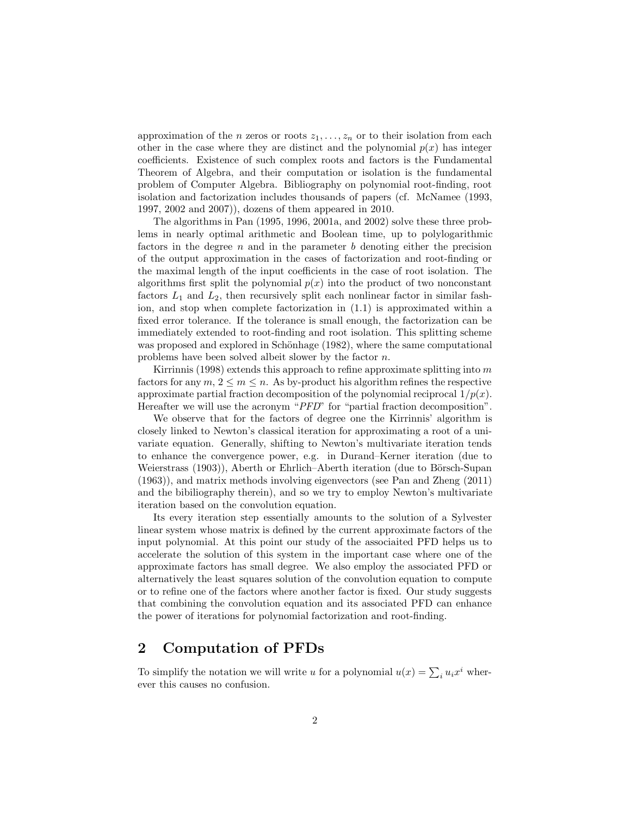approximation of the *n* zeros or roots  $z_1, \ldots, z_n$  or to their isolation from each other in the case where they are distinct and the polynomial  $p(x)$  has integer coefficients. Existence of such complex roots and factors is the Fundamental Theorem of Algebra, and their computation or isolation is the fundamental problem of Computer Algebra. Bibliography on polynomial root-finding, root isolation and factorization includes thousands of papers (cf. McNamee (1993, 1997, 2002 and 2007)), dozens of them appeared in 2010.

The algorithms in Pan (1995, 1996, 2001a, and 2002) solve these three problems in nearly optimal arithmetic and Boolean time, up to polylogarithmic factors in the degree *n* and in the parameter *b* denoting either the precision of the output approximation in the cases of factorization and root-finding or the maximal length of the input coefficients in the case of root isolation. The algorithms first split the polynomial  $p(x)$  into the product of two nonconstant factors  $L_1$  and  $L_2$ , then recursively split each nonlinear factor in similar fashion, and stop when complete factorization in (1.1) is approximated within a fixed error tolerance. If the tolerance is small enough, the factorization can be immediately extended to root-finding and root isolation. This splitting scheme was proposed and explored in Schönhage (1982), where the same computational problems have been solved albeit slower by the factor *n*.

Kirrinnis (1998) extends this approach to refine approximate splitting into *m* factors for any  $m, 2 \leq m \leq n$ . As by-product his algorithm refines the respective approximate partial fraction decomposition of the polynomial reciprocal 1*/p*(*x*). Hereafter we will use the acronym "*PFD*" for "partial fraction decomposition".

We observe that for the factors of degree one the Kirrinnis' algorithm is closely linked to Newton's classical iteration for approximating a root of a univariate equation. Generally, shifting to Newton's multivariate iteration tends to enhance the convergence power, e.g. in Durand–Kerner iteration (due to Weierstrass (1903)), Aberth or Ehrlich–Aberth iteration (due to Börsch-Supan (1963)), and matrix methods involving eigenvectors (see Pan and Zheng (2011) and the bibiliography therein), and so we try to employ Newton's multivariate iteration based on the convolution equation.

Its every iteration step essentially amounts to the solution of a Sylvester linear system whose matrix is defined by the current approximate factors of the input polynomial. At this point our study of the associaited PFD helps us to accelerate the solution of this system in the important case where one of the approximate factors has small degree. We also employ the associated PFD or alternatively the least squares solution of the convolution equation to compute or to refine one of the factors where another factor is fixed. Our study suggests that combining the convolution equation and its associated PFD can enhance the power of iterations for polynomial factorization and root-finding.

#### **2 Computation of PFDs**

To simplify the notation we will write *u* for a polynomial  $u(x) = \sum_i u_i x^i$  wherever this causes no confusion.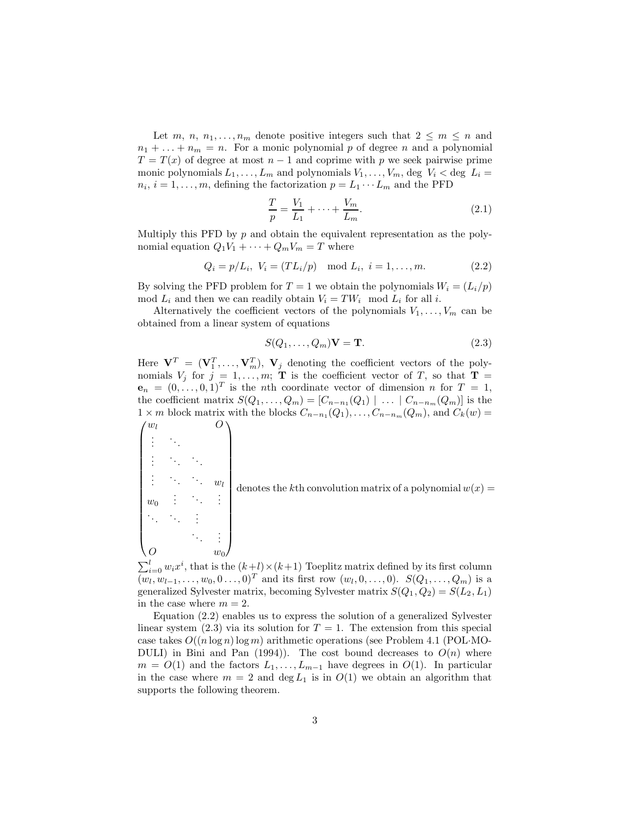Let *m*, *n*, *n*<sub>1</sub>,..., *n*<sub>*m*</sub> denote positive integers such that  $2 \le m \le n$  and  $n_1 + \ldots + n_m = n$ . For a monic polynomial p of degree n and a polynomial  $T = T(x)$  of degree at most  $n-1$  and coprime with p we seek pairwise prime monic polynomials  $L_1, \ldots, L_m$  and polynomials  $V_1, \ldots, V_m$ , deg  $V_i <$  deg  $L_i =$  $n_i$ ,  $i = 1, \ldots, m$ , defining the factorization  $p = L_1 \cdots L_m$  and the PFD

$$
\frac{T}{p} = \frac{V_1}{L_1} + \dots + \frac{V_m}{L_m}.\tag{2.1}
$$

Multiply this PFD by *p* and obtain the equivalent representation as the polynomial equation  $Q_1V_1 + \cdots + Q_mV_m = T$  where

$$
Q_i = p/L_i, \ V_i = (TL_i/p) \mod L_i, \ i = 1, ..., m.
$$
 (2.2)

By solving the PFD problem for  $T = 1$  we obtain the polynomials  $W_i = (L_i/p)$ mod  $L_i$  and then we can readily obtain  $V_i = TW_i \mod L_i$  for all *i*.

Alternatively the coefficient vectors of the polynomials  $V_1, \ldots, V_m$  can be obtained from a linear system of equations

$$
S(Q_1, \dots, Q_m)\mathbf{V} = \mathbf{T}.\tag{2.3}
$$

Here  $\mathbf{V}^T = (\mathbf{V}_1^T, \dots, \mathbf{V}_m^T), \mathbf{V}_j$  denoting the coefficient vectors of the polynomials  $V_j$  for  $j = 1, \ldots, m$ ; **T** is the coefficient vector of *T*, so that **T** =  $\mathbf{e}_n = (0, \ldots, 0, 1)^T$  is the *n*th coordinate vector of dimension *n* for  $T = 1$ , the coefficient matrix  $S(Q_1, \ldots, Q_m) = [C_{n-n_1}(Q_1) \mid \ldots \mid C_{n-n_m}(Q_m)]$  is the  $1 \times m$  block matrix with the blocks  $C_{n-n_1}(Q_1), \ldots, C_{n-n_m}(Q_m)$ , and  $C_k(w)$ *w<sup>l</sup> O*

 $\sqrt{ }$ 

 $O \qquad \qquad w_0$ 

 $\setminus$ 

 . . . ... . . . ... ...  $\vdots$   $\ddots$   $\ddots$   $w_l$  $w_0$  :  $\ddots$  : ... ... . . .  $\mathbb{R}^3 \times \frac{1}{2}$  denotes the *k*th convolution matrix of a polynomial  $w(x) =$ 

 $\sum_{i=0}^{l} w_i x^i$ , that is the  $(k+l) \times (k+1)$  Toeplitz matrix defined by its first column  $(w_l, w_{l-1}, \ldots, w_0, 0 \ldots, 0)^T$  and its first row  $(w_l, 0, \ldots, 0)$ .  $S(Q_1, \ldots, Q_m)$  is a generalized Sylvester matrix, becoming Sylvester matrix  $S(Q_1, Q_2) = S(L_2, L_1)$ in the case where  $m = 2$ .

Equation (2.2) enables us to express the solution of a generalized Sylvester linear system  $(2.3)$  via its solution for  $T = 1$ . The extension from this special case takes  $O((n \log n) \log m)$  arithmetic operations (see Problem 4.1 (POL·MO-DULI) in Bini and Pan (1994)). The cost bound decreases to  $O(n)$  where  $m = O(1)$  and the factors  $L_1, \ldots, L_{m-1}$  have degrees in  $O(1)$ . In particular in the case where  $m = 2$  and  $\deg L_1$  is in  $O(1)$  we obtain an algorithm that supports the following theorem.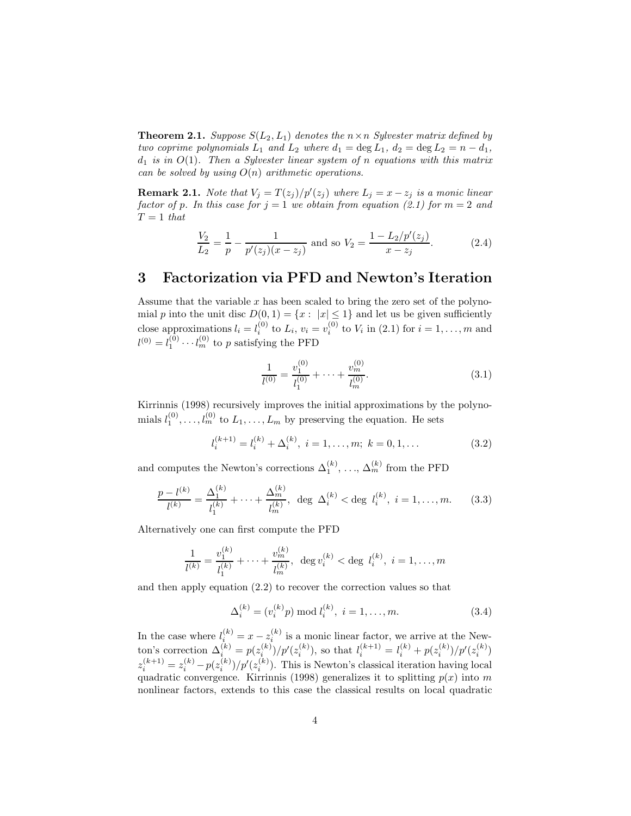**Theorem 2.1.** *Suppose*  $S(L_2, L_1)$  *denotes the*  $n \times n$  *Sylvester matrix defined by two coprime polynomials*  $L_1$  *and*  $L_2$  *where*  $d_1 = \deg L_1$ ,  $d_2 = \deg L_2 = n - d_1$ , *d*<sup>1</sup> *is in O*(1)*. Then a Sylvester linear system of n equations with this matrix can be solved by using O*(*n*) *arithmetic operations.*

**Remark 2.1.** *Note that*  $V_j = T(z_j)/p'(z_j)$  *where*  $L_j = x - z_j$  *is a monic linear factor of p. In this case for*  $j = 1$  *we obtain from equation (2.1) for*  $m = 2$  *and*  $T = 1$  *that* 

$$
\frac{V_2}{L_2} = \frac{1}{p} - \frac{1}{p'(z_j)(x - z_j)} \text{ and so } V_2 = \frac{1 - L_2/p'(z_j)}{x - z_j}.
$$
 (2.4)

#### **3 Factorization via PFD and Newton's Iteration**

Assume that the variable *x* has been scaled to bring the zero set of the polynomial *p* into the unit disc  $D(0, 1) = \{x : |x| \leq 1\}$  and let us be given sufficiently close approximations  $l_i = l_i^{(0)}$  to  $L_i$ ,  $v_i = v_i^{(0)}$  to  $V_i$  in (2.1) for  $i = 1, \ldots, m$  and  $l^{(0)} = l_1^{(0)} \cdots l_m^{(0)}$  to *p* satisfying the PFD

$$
\frac{1}{l^{(0)}} = \frac{v_1^{(0)}}{l_1^{(0)}} + \dots + \frac{v_m^{(0)}}{l_m^{(0)}}.
$$
\n(3.1)

Kirrinnis (1998) recursively improves the initial approximations by the polynomials  $l_1^{(0)}, \ldots, l_m^{(0)}$  to  $L_1, \ldots, L_m$  by preserving the equation. He sets

$$
l_i^{(k+1)} = l_i^{(k)} + \Delta_i^{(k)}, \ i = 1, \dots, m; \ k = 0, 1, \dots
$$
 (3.2)

and computes the Newton's corrections  $\Delta_1^{(k)}$ , ...,  $\Delta_m^{(k)}$  from the PFD

$$
\frac{p - l^{(k)}}{l^{(k)}} = \frac{\Delta_1^{(k)}}{l_1^{(k)}} + \dots + \frac{\Delta_m^{(k)}}{l_m^{(k)}}, \text{ deg }\Delta_i^{(k)} < \text{deg } l_i^{(k)}, i = 1, \dots, m. \tag{3.3}
$$

Alternatively one can first compute the PFD

$$
\frac{1}{l^{(k)}} = \frac{v_1^{(k)}}{l_1^{(k)}} + \dots + \frac{v_m^{(k)}}{l_m^{(k)}}, \deg v_i^{(k)} < \deg l_i^{(k)}, \ i = 1, \dots, m
$$

and then apply equation (2.2) to recover the correction values so that

$$
\Delta_i^{(k)} = (v_i^{(k)}p) \bmod l_i^{(k)}, \ i = 1, \dots, m.
$$
 (3.4)

In the case where  $l_i^{(k)} = x - z_i^{(k)}$  is a monic linear factor, we arrive at the Newton's correction  $\Delta_i^{(k)} = p(z_i^{(k)})/p'(z_i^{(k)})$ , so that  $l_i^{(k+1)} = l_i^{(k)} + p(z_i^{(k)})/p'(z_i^{(k)})$  $z_i^{(k+1)} = z_i^{(k)} - p(z_i^{(k)})/p'(z_i^{(k)})$ . This is Newton's classical iteration having local quadratic convergence. Kirrinnis (1998) generalizes it to splitting  $p(x)$  into  $m$ nonlinear factors, extends to this case the classical results on local quadratic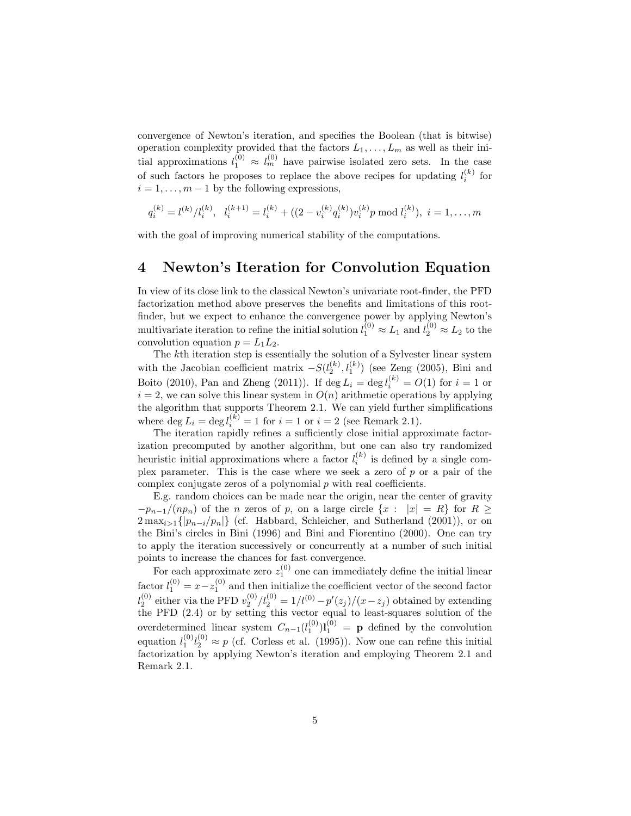convergence of Newton's iteration, and specifies the Boolean (that is bitwise) operation complexity provided that the factors  $L_1, \ldots, L_m$  as well as their initial approximations  $l_1^{(0)} \approx l_m^{(0)}$  have pairwise isolated zero sets. In the case of such factors he proposes to replace the above recipes for updating  $l_i^{(k)}$  for  $i = 1, \ldots, m - 1$  by the following expressions,

$$
q_i^{(k)} = l^{(k)}/l_i^{(k)}, \quad l_i^{(k+1)} = l_i^{(k)} + ((2 - v_i^{(k)}q_i^{(k)})v_i^{(k)}p \mod l_i^{(k)}), \quad i = 1, \dots, m
$$

with the goal of improving numerical stability of the computations.

#### **4 Newton's Iteration for Convolution Equation**

In view of its close link to the classical Newton's univariate root-finder, the PFD factorization method above preserves the benefits and limitations of this rootfinder, but we expect to enhance the convergence power by applying Newton's multivariate iteration to refine the initial solution  $l_1^{(0)} \approx L_1$  and  $l_2^{(0)} \approx L_2$  to the convolution equation  $p = L_1 L_2$ .

The *k*th iteration step is essentially the solution of a Sylvester linear system with the Jacobian coefficient matrix  $-S(l_2^{(k)}, l_1^{(k)})$  (see Zeng (2005), Bini and Boito (2010), Pan and Zheng (2011)). If  $\deg L_i = \deg l_i^{(k)} = O(1)$  for  $i = 1$  or  $i = 2$ , we can solve this linear system in  $O(n)$  arithmetic operations by applying the algorithm that supports Theorem 2.1. We can yield further simplifications where  $\deg L_i = \deg l_i^{(k)} = 1$  for  $i = 1$  or  $i = 2$  (see Remark 2.1).

The iteration rapidly refines a sufficiently close initial approximate factorization precomputed by another algorithm, but one can also try randomized heuristic initial approximations where a factor  $l_i^{(k)}$  is defined by a single complex parameter. This is the case where we seek a zero of *p* or a pair of the complex conjugate zeros of a polynomial *p* with real coefficients.

E.g. random choices can be made near the origin, near the center of gravity  $-p_{n-1}/(np_n)$  of the *n* zeros of *p*, on a large circle  $\{x : |x| = R\}$  for  $R \ge$  $2 \max_{i>1} \{|p_{n-i}/p_n|\}$  (cf. Habbard, Schleicher, and Sutherland (2001)), or on the Bini's circles in Bini (1996) and Bini and Fiorentino (2000). One can try to apply the iteration successively or concurrently at a number of such initial points to increase the chances for fast convergence.

For each approximate zero  $z_1^{(0)}$  one can immediately define the initial linear factor  $l_1^{(0)} = x - z_1^{(0)}$  and then initialize the coefficient vector of the second factor  $l_2^{(0)}$  either via the PFD  $v_2^{(0)}/l_2^{(0)} = 1/l^{(0)} - p'(z_j)/(x - z_j)$  obtained by extending the PFD (2.4) or by setting this vector equal to least-squares solution of the overdetermined linear system  $C_{n-1}(l_1^{(0)})$ **l**<sub>1</sub><sup>(0)</sup> = **p** defined by the convolution equation  $l_1^{(0)}l_2^{(0)} \approx p$  (cf. Corless et al. (1995)). Now one can refine this initial factorization by applying Newton's iteration and employing Theorem 2.1 and Remark 2.1.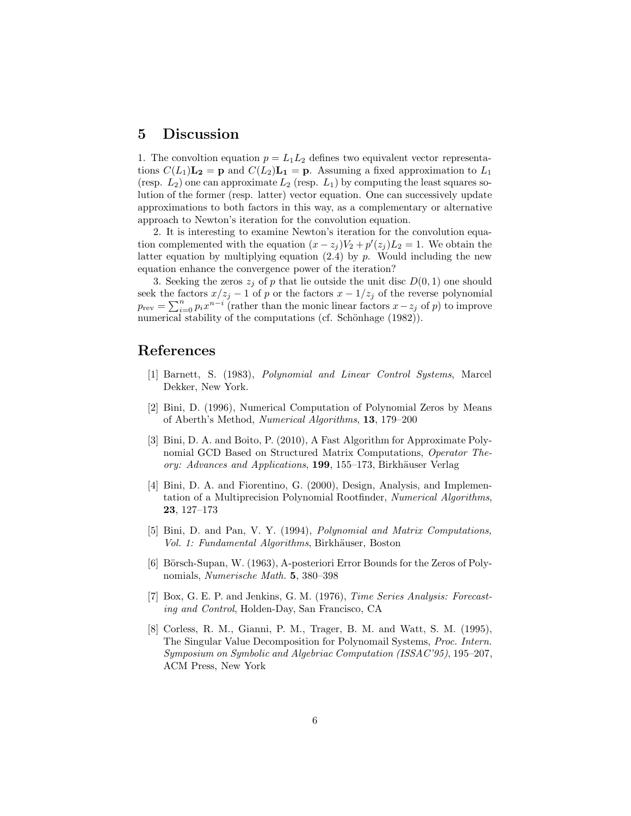#### **5 Discussion**

1. The convoltion equation  $p = L_1 L_2$  defines two equivalent vector representations  $C(L_1)\mathbf{L_2} = \mathbf{p}$  and  $C(L_2)\mathbf{L_1} = \mathbf{p}$ . Assuming a fixed approximation to  $L_1$ (resp.  $L_2$ ) one can approximate  $L_2$  (resp.  $L_1$ ) by computing the least squares solution of the former (resp. latter) vector equation. One can successively update approximations to both factors in this way, as a complementary or alternative approach to Newton's iteration for the convolution equation.

2. It is interesting to examine Newton's iteration for the convolution equation complemented with the equation  $(x - z_j)V_2 + p'(z_j)L_2 = 1$ . We obtain the latter equation by multiplying equation (2.4) by *p*. Would including the new equation enhance the convergence power of the iteration?

3. Seeking the zeros  $z_j$  of p that lie outside the unit disc  $D(0, 1)$  one should seek the factors  $x/z_j - 1$  of *p* or the factors  $x - 1/z_j$  of the reverse polynomial  $p_{\text{rev}} = \sum_{i=0}^{n} p_i x^{n-i}$  (rather than the monic linear factors  $x - z_j$  of *p*) to improve numerical stability of the computations (cf. Schönhage  $(1982)$ ).

### **References**

- [1] Barnett, S. (1983), *Polynomial and Linear Control Systems*, Marcel Dekker, New York.
- [2] Bini, D. (1996), Numerical Computation of Polynomial Zeros by Means of Aberth's Method, *Numerical Algorithms*, **13**, 179–200
- [3] Bini, D. A. and Boito, P. (2010), A Fast Algorithm for Approximate Polynomial GCD Based on Structured Matrix Computations, *Operator Theory: Advances and Applications*, 199, 155–173, Birkhäuser Verlag
- [4] Bini, D. A. and Fiorentino, G. (2000), Design, Analysis, and Implementation of a Multiprecision Polynomial Rootfinder, *Numerical Algorithms*, **23**, 127–173
- [5] Bini, D. and Pan, V. Y. (1994), *Polynomial and Matrix Computations, Vol. 1: Fundamental Algorithms*, Birkh¨auser, Boston
- [6] Börsch-Supan, W.  $(1963)$ , A-posteriori Error Bounds for the Zeros of Polynomials, *Numerische Math.* **5**, 380–398
- [7] Box, G. E. P. and Jenkins, G. M. (1976), *Time Series Analysis: Forecasting and Control*, Holden-Day, San Francisco, CA
- [8] Corless, R. M., Gianni, P. M., Trager, B. M. and Watt, S. M. (1995), The Singular Value Decomposition for Polynomail Systems, *Proc. Intern. Symposium on Symbolic and Algebriac Computation (ISSAC'95)*, 195–207, ACM Press, New York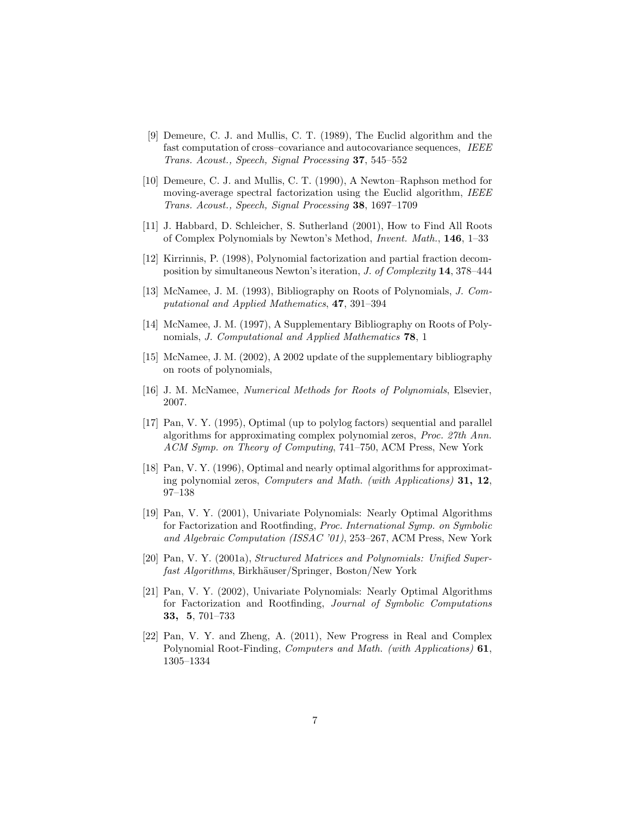- [9] Demeure, C. J. and Mullis, C. T. (1989), The Euclid algorithm and the fast computation of cross–covariance and autocovariance sequences, *IEEE Trans. Acoust., Speech, Signal Processing* **37**, 545–552
- [10] Demeure, C. J. and Mullis, C. T. (1990), A Newton–Raphson method for moving-average spectral factorization using the Euclid algorithm, *IEEE Trans. Acoust., Speech, Signal Processing* **38**, 1697–1709
- [11] J. Habbard, D. Schleicher, S. Sutherland (2001), How to Find All Roots of Complex Polynomials by Newton's Method, *Invent. Math.*, **146**, 1–33
- [12] Kirrinnis, P. (1998), Polynomial factorization and partial fraction decomposition by simultaneous Newton's iteration, *J. of Complexity* **14**, 378–444
- [13] McNamee, J. M. (1993), Bibliography on Roots of Polynomials, *J. Computational and Applied Mathematics*, **47**, 391–394
- [14] McNamee, J. M. (1997), A Supplementary Bibliography on Roots of Polynomials, *J. Computational and Applied Mathematics* **78**, 1
- [15] McNamee, J. M. (2002), A 2002 update of the supplementary bibliography on roots of polynomials,
- [16] J. M. McNamee, *Numerical Methods for Roots of Polynomials*, Elsevier, 2007.
- [17] Pan, V. Y. (1995), Optimal (up to polylog factors) sequential and parallel algorithms for approximating complex polynomial zeros, *Proc. 27th Ann. ACM Symp. on Theory of Computing*, 741–750, ACM Press, New York
- [18] Pan, V. Y. (1996), Optimal and nearly optimal algorithms for approximating polynomial zeros, *Computers and Math. (with Applications)* **31, 12**, 97–138
- [19] Pan, V. Y. (2001), Univariate Polynomials: Nearly Optimal Algorithms for Factorization and Rootfinding, *Proc. International Symp. on Symbolic and Algebraic Computation (ISSAC '01)*, 253–267, ACM Press, New York
- [20] Pan, V. Y. (2001a), *Structured Matrices and Polynomials: Unified Superfast Algorithms*, Birkhäuser/Springer, Boston/New York
- [21] Pan, V. Y. (2002), Univariate Polynomials: Nearly Optimal Algorithms for Factorization and Rootfinding, *Journal of Symbolic Computations* **33, 5**, 701–733
- [22] Pan, V. Y. and Zheng, A. (2011), New Progress in Real and Complex Polynomial Root-Finding, *Computers and Math. (with Applications)* **61**, 1305–1334